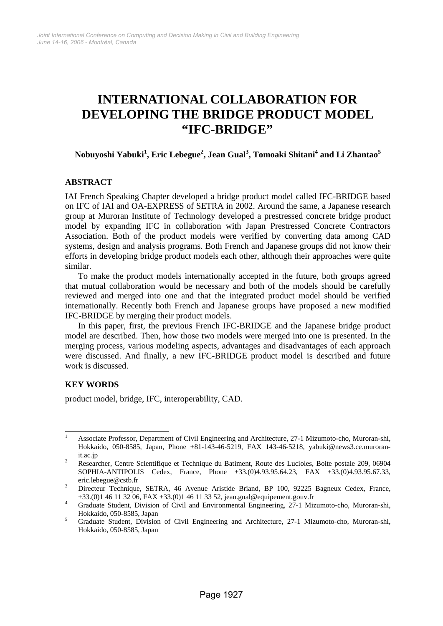# **INTERNATIONAL COLLABORATION FOR DEVELOPING THE BRIDGE PRODUCT MODEL "IFC-BRIDGE"**

# **Nobuyoshi Yabuki<sup>1</sup> , Eric Lebegue2 , Jean Gual3 , Tomoaki Shitani4 and Li Zhantao<sup>5</sup>**

# **ABSTRACT**

IAI French Speaking Chapter developed a bridge product model called IFC-BRIDGE based on IFC of IAI and OA-EXPRESS of SETRA in 2002. Around the same, a Japanese research group at Muroran Institute of Technology developed a prestressed concrete bridge product model by expanding IFC in collaboration with Japan Prestressed Concrete Contractors Association. Both of the product models were verified by converting data among CAD systems, design and analysis programs. Both French and Japanese groups did not know their efforts in developing bridge product models each other, although their approaches were quite similar.

To make the product models internationally accepted in the future, both groups agreed that mutual collaboration would be necessary and both of the models should be carefully reviewed and merged into one and that the integrated product model should be verified internationally. Recently both French and Japanese groups have proposed a new modified IFC-BRIDGE by merging their product models.

In this paper, first, the previous French IFC-BRIDGE and the Japanese bridge product model are described. Then, how those two models were merged into one is presented. In the merging process, various modeling aspects, advantages and disadvantages of each approach were discussed. And finally, a new IFC-BRIDGE product model is described and future work is discussed.

# **KEY WORDS**

product model, bridge, IFC, interoperability, CAD.

 $\frac{1}{1}$  Associate Professor, Department of Civil Engineering and Architecture, 27-1 Mizumoto-cho, Muroran-shi, Hokkaido, 050-8585, Japan, Phone +81-143-46-5219, FAX 143-46-5218, yabuki@news3.ce.muroran- $\frac{\text{it.ac.jp}}{2}$ 

Researcher, Centre Scientifique et Technique du Batiment, Route des Lucioles, Boite postale 209, 06904 SOPHIA-ANTIPOLIS Cedex, France, Phone +33.(0)4.93.95.64.23, FAX +33.(0)4.93.95.67.33, eric.lebegue@cstb.fr

Directeur Technique, SETRA, 46 Avenue Aristide Briand, BP 100, 92225 Bagneux Cedex, France, +33.(0)1 46 11 32 06, FAX +33.(0)1 46 11 33 52, jean.gual@equipement.gouv.fr 4

<sup>&</sup>lt;sup>4</sup> Graduate Student, Division of Civil and Environmental Engineering, 27-1 Mizumoto-cho, Muroran-shi, Hokkaido, 050-8585, Japan 5

Graduate Student, Division of Civil Engineering and Architecture, 27-1 Mizumoto-cho, Muroran-shi, Hokkaido, 050-8585, Japan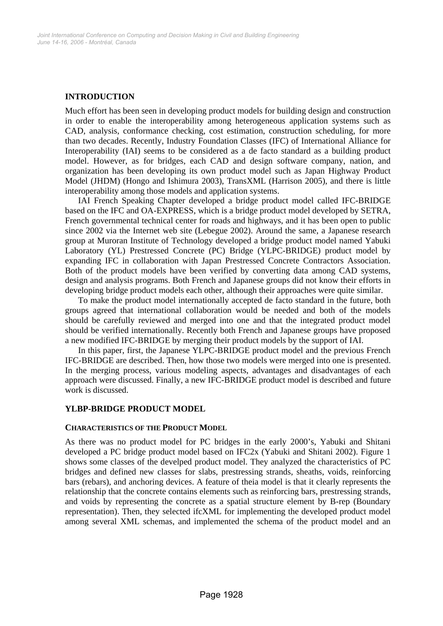# **INTRODUCTION**

Much effort has been seen in developing product models for building design and construction in order to enable the interoperability among heterogeneous application systems such as CAD, analysis, conformance checking, cost estimation, construction scheduling, for more than two decades. Recently, Industry Foundation Classes (IFC) of International Alliance for Interoperability (IAI) seems to be considered as a de facto standard as a building product model. However, as for bridges, each CAD and design software company, nation, and organization has been developing its own product model such as Japan Highway Product Model (JHDM) (Hongo and Ishimura 2003), TransXML (Harrison 2005), and there is little interoperability among those models and application systems.

IAI French Speaking Chapter developed a bridge product model called IFC-BRIDGE based on the IFC and OA-EXPRESS, which is a bridge product model developed by SETRA, French governmental technical center for roads and highways, and it has been open to public since 2002 via the Internet web site (Lebegue 2002). Around the same, a Japanese research group at Muroran Institute of Technology developed a bridge product model named Yabuki Laboratory (YL) Prestressed Concrete (PC) Bridge (YLPC-BRIDGE) product model by expanding IFC in collaboration with Japan Prestressed Concrete Contractors Association. Both of the product models have been verified by converting data among CAD systems, design and analysis programs. Both French and Japanese groups did not know their efforts in developing bridge product models each other, although their approaches were quite similar.

To make the product model internationally accepted de facto standard in the future, both groups agreed that international collaboration would be needed and both of the models should be carefully reviewed and merged into one and that the integrated product model should be verified internationally. Recently both French and Japanese groups have proposed a new modified IFC-BRIDGE by merging their product models by the support of IAI.

In this paper, first, the Japanese YLPC-BRIDGE product model and the previous French IFC-BRIDGE are described. Then, how those two models were merged into one is presented. In the merging process, various modeling aspects, advantages and disadvantages of each approach were discussed. Finally, a new IFC-BRIDGE product model is described and future work is discussed.

## **YLBP-BRIDGE PRODUCT MODEL**

#### **CHARACTERISTICS OF THE PRODUCT MODEL**

As there was no product model for PC bridges in the early 2000's, Yabuki and Shitani developed a PC bridge product model based on IFC2x (Yabuki and Shitani 2002). Figure 1 shows some classes of the develped product model. They analyzed the characteristics of PC bridges and defined new classes for slabs, prestressing strands, sheaths, voids, reinforcing bars (rebars), and anchoring devices. A feature of theia model is that it clearly represents the relationship that the concrete contains elements such as reinforcing bars, prestressing strands, and voids by representing the concrete as a spatial structure element by B-rep (Boundary representation). Then, they selected ifcXML for implementing the developed product model among several XML schemas, and implemented the schema of the product model and an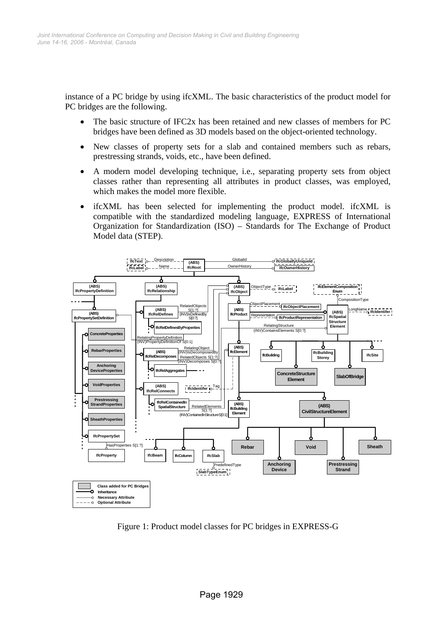instance of a PC bridge by using ifcXML. The basic characteristics of the product model for PC bridges are the following.

- The basic structure of IFC2x has been retained and new classes of members for PC bridges have been defined as 3D models based on the object-oriented technology.
- New classes of property sets for a slab and contained members such as rebars, prestressing strands, voids, etc., have been defined.
- A modern model developing technique, i.e., separating property sets from object classes rather than representing all attributes in product classes, was employed, which makes the model more flexible.
- ifcXML has been selected for implementing the product model. ifcXML is compatible with the standardized modeling language, EXPRESS of International Organization for Standardization (ISO) – Standards for The Exchange of Product Model data (STEP).



Figure 1: Product model classes for PC bridges in EXPRESS-G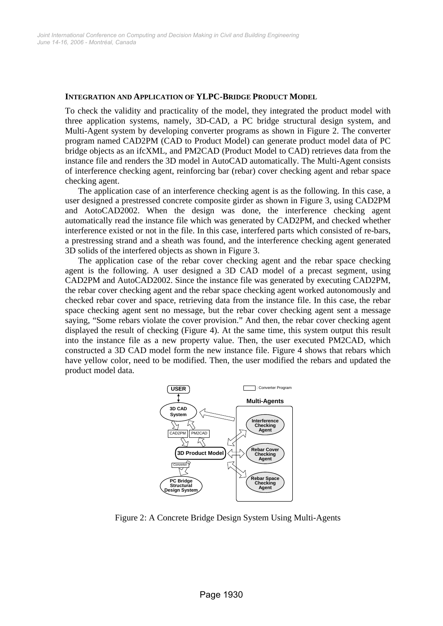#### **INTEGRATION AND APPLICATION OF YLPC-BRIDGE PRODUCT MODEL**

To check the validity and practicality of the model, they integrated the product model with three application systems, namely, 3D-CAD, a PC bridge structural design system, and Multi-Agent system by developing converter programs as shown in Figure 2. The converter program named CAD2PM (CAD to Product Model) can generate product model data of PC bridge objects as an ifcXML, and PM2CAD (Product Model to CAD) retrieves data from the instance file and renders the 3D model in AutoCAD automatically. The Multi-Agent consists of interference checking agent, reinforcing bar (rebar) cover checking agent and rebar space checking agent.

The application case of an interference checking agent is as the following. In this case, a user designed a prestressed concrete composite girder as shown in Figure 3, using CAD2PM and AotoCAD2002. When the design was done, the interference checking agent automatically read the instance file which was generated by CAD2PM, and checked whether interference existed or not in the file. In this case, interfered parts which consisted of re-bars, a prestressing strand and a sheath was found, and the interference checking agent generated 3D solids of the interfered objects as shown in Figure 3.

The application case of the rebar cover checking agent and the rebar space checking agent is the following. A user designed a 3D CAD model of a precast segment, using CAD2PM and AutoCAD2002. Since the instance file was generated by executing CAD2PM, the rebar cover checking agent and the rebar space checking agent worked autonomously and checked rebar cover and space, retrieving data from the instance file. In this case, the rebar space checking agent sent no message, but the rebar cover checking agent sent a message saying, "Some rebars violate the cover provision." And then, the rebar cover checking agent displayed the result of checking (Figure 4). At the same time, this system output this result into the instance file as a new property value. Then, the user executed PM2CAD, which constructed a 3D CAD model form the new instance file. Figure 4 shows that rebars which have yellow color, need to be modified. Then, the user modified the rebars and updated the product model data.



Figure 2: A Concrete Bridge Design System Using Multi-Agents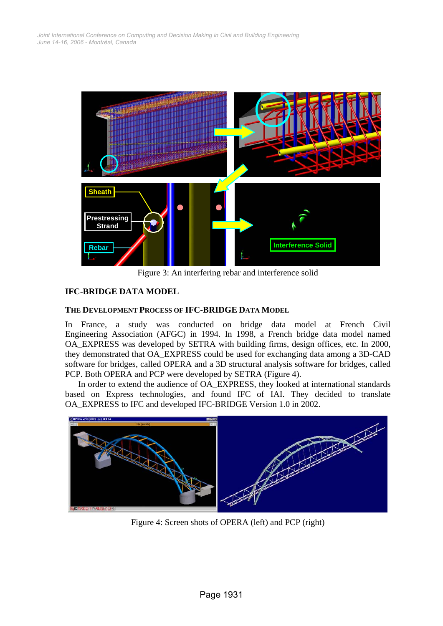

Figure 3: An interfering rebar and interference solid

# **IFC-BRIDGE DATA MODEL**

# **THE DEVELOPMENT PROCESS OF IFC-BRIDGE DATA MODEL**

In France, a study was conducted on bridge data model at French Civil Engineering Association (AFGC) in 1994. In 1998, a French bridge data model named OA\_EXPRESS was developed by SETRA with building firms, design offices, etc. In 2000, they demonstrated that OA\_EXPRESS could be used for exchanging data among a 3D-CAD software for bridges, called OPERA and a 3D structural analysis software for bridges, called PCP. Both OPERA and PCP were developed by SETRA (Figure 4).

In order to extend the audience of OA\_EXPRESS, they looked at international standards based on Express technologies, and found IFC of IAI. They decided to translate OA\_EXPRESS to IFC and developed IFC-BRIDGE Version 1.0 in 2002.



Figure 4: Screen shots of OPERA (left) and PCP (right)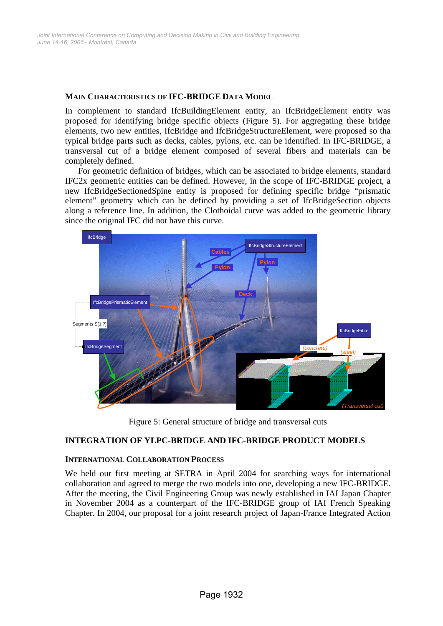#### **MAIN CHARACTERISTICS OF IFC-BRIDGE DATA MODEL**

In complement to standard IfcBuildingElement entity, an IfcBridgeElement entity was proposed for identifying bridge specific objects (Figure 5). For aggregating these bridge elements, two new entities, IfcBridge and IfcBridgeStructureElement, were proposed so tha typical bridge parts such as decks, cables, pylons, etc. can be identified. In IFC-BRIDGE, a transversal cut of a bridge element composed of several fibers and materials can be completely defined.

For geometric definition of bridges, which can be associated to bridge elements, standard IFC2x geometric entities can be defined. However, in the scope of IFC-BRIDGE project, a new IfcBridgeSectionedSpine entity is proposed for defining specific bridge "prismatic element" geometry which can be defined by providing a set of IfcBridgeSection objects along a reference line. In addition, the Clothoidal curve was added to the geometric library since the original IFC did not have this curve.



Figure 5: General structure of bridge and transversal cuts

## **INTEGRATION OF YLPC-BRIDGE AND IFC-BRIDGE PRODUCT MODELS**

## **INTERNATIONAL COLLABORATION PROCESS**

We held our first meeting at SETRA in April 2004 for searching ways for international collaboration and agreed to merge the two models into one, developing a new IFC-BRIDGE. After the meeting, the Civil Engineering Group was newly established in IAI Japan Chapter in November 2004 as a counterpart of the IFC-BRIDGE group of IAI French Speaking Chapter. In 2004, our proposal for a joint research project of Japan-France Integrated Action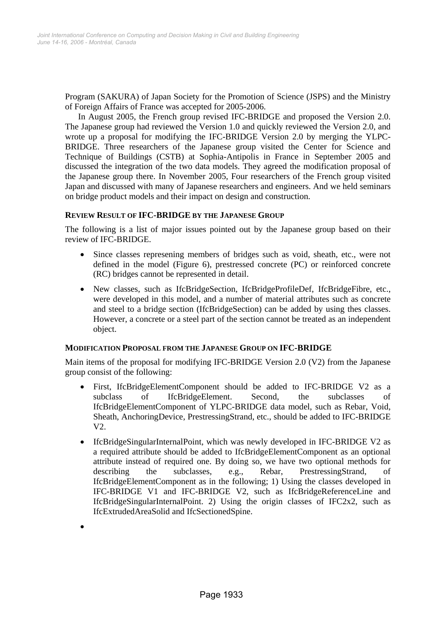Program (SAKURA) of Japan Society for the Promotion of Science (JSPS) and the Ministry of Foreign Affairs of France was accepted for 2005-2006.

In August 2005, the French group revised IFC-BRIDGE and proposed the Version 2.0. The Japanese group had reviewed the Version 1.0 and quickly reviewed the Version 2.0, and wrote up a proposal for modifying the IFC-BRIDGE Version 2.0 by merging the YLPC-BRIDGE. Three researchers of the Japanese group visited the Center for Science and Technique of Buildings (CSTB) at Sophia-Antipolis in France in September 2005 and discussed the integration of the two data models. They agreed the modification proposal of the Japanese group there. In November 2005, Four researchers of the French group visited Japan and discussed with many of Japanese researchers and engineers. And we held seminars on bridge product models and their impact on design and construction.

#### **REVIEW RESULT OF IFC-BRIDGE BY THE JAPANESE GROUP**

The following is a list of major issues pointed out by the Japanese group based on their review of IFC-BRIDGE.

- Since classes represening members of bridges such as void, sheath, etc., were not defined in the model (Figure 6), prestressed concrete (PC) or reinforced concrete (RC) bridges cannot be represented in detail.
- New classes, such as IfcBridgeSection, IfcBridgeProfileDef, IfcBridgeFibre, etc., were developed in this model, and a number of material attributes such as concrete and steel to a bridge section (IfcBridgeSection) can be added by using thes classes. However, a concrete or a steel part of the section cannot be treated as an independent object.

#### **MODIFICATION PROPOSAL FROM THE JAPANESE GROUP ON IFC-BRIDGE**

Main items of the proposal for modifying IFC-BRIDGE Version 2.0 (V2) from the Japanese group consist of the following:

- First, IfcBridgeElementComponent should be added to IFC-BRIDGE V2 as a subclass of IfcBridgeElement. Second, the subclasses of IfcBridgeElementComponent of YLPC-BRIDGE data model, such as Rebar, Void, Sheath, AnchoringDevice, PrestressingStrand, etc., should be added to IFC-BRIDGE V2.
- IfcBridgeSingularInternalPoint, which was newly developed in IFC-BRIDGE V2 as a required attribute should be added to IfcBridgeElementComponent as an optional attribute instead of required one. By doing so, we have two optional methods for describing the subclasses, e.g., Rebar, PrestressingStrand, of IfcBridgeElementComponent as in the following; 1) Using the classes developed in IFC-BRIDGE V1 and IFC-BRIDGE V2, such as IfcBridgeReferenceLine and IfcBridgeSingularInternalPoint. 2) Using the origin classes of IFC2x2, such as IfcExtrudedAreaSolid and IfcSectionedSpine.

•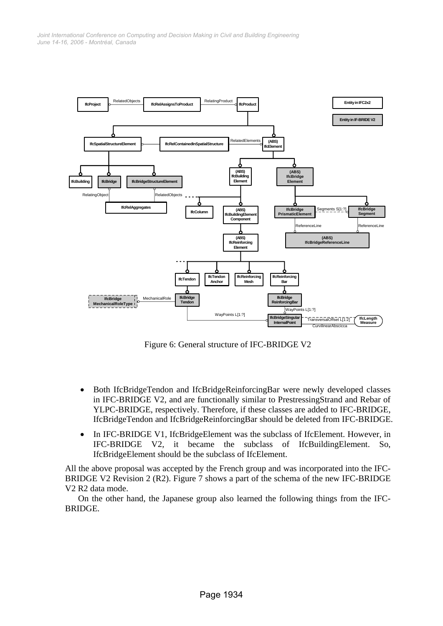*June 14-16, 2006 - Montréal, Canada Joint International Conference on Computing and Decision Making in Civil and Building Engineering*



Figure 6: General structure of IFC-BRIDGE V2

- Both IfcBridgeTendon and IfcBridgeReinforcingBar were newly developed classes in IFC-BRIDGE V2, and are functionally similar to PrestressingStrand and Rebar of YLPC-BRIDGE, respectively. Therefore, if these classes are added to IFC-BRIDGE, IfcBridgeTendon and IfcBridgeReinforcingBar should be deleted from IFC-BRIDGE.
- In IFC-BRIDGE V1, IfcBridgeElement was the subclass of IfcElement. However, in IFC-BRIDGE V2, it became the subclass of IfcBuildingElement. So, IfcBridgeElement should be the subclass of IfcElement.

All the above proposal was accepted by the French group and was incorporated into the IFC-BRIDGE V2 Revision 2 (R2). Figure 7 shows a part of the schema of the new IFC-BRIDGE V2 R2 data mode.

On the other hand, the Japanese group also learned the following things from the IFC-BRIDGE.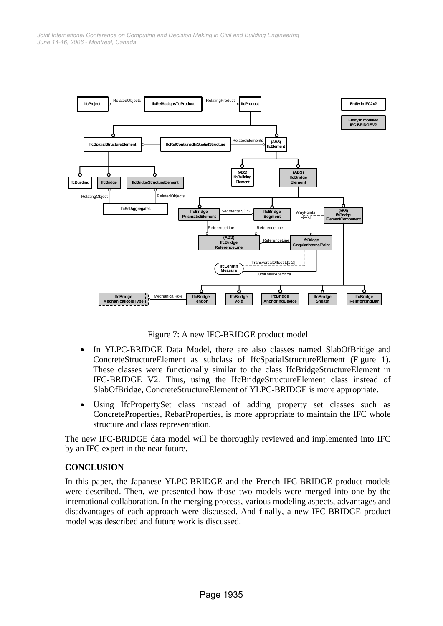

Figure 7: A new IFC-BRIDGE product model

- In YLPC-BRIDGE Data Model, there are also classes named SlabOfBridge and ConcreteStructureElement as subclass of IfcSpatialStructureElement (Figure 1). These classes were functionally similar to the class IfcBridgeStructureElement in IFC-BRIDGE V2. Thus, using the IfcBridgeStructureElement class instead of SlabOfBridge, ConcreteStructureElement of YLPC-BRIDGE is more appropriate.
- Using IfcPropertySet class instead of adding property set classes such as ConcreteProperties, RebarProperties, is more appropriate to maintain the IFC whole structure and class representation.

The new IFC-BRIDGE data model will be thoroughly reviewed and implemented into IFC by an IFC expert in the near future.

## **CONCLUSION**

In this paper, the Japanese YLPC-BRIDGE and the French IFC-BRIDGE product models were described. Then, we presented how those two models were merged into one by the international collaboration. In the merging process, various modeling aspects, advantages and disadvantages of each approach were discussed. And finally, a new IFC-BRIDGE product model was described and future work is discussed.